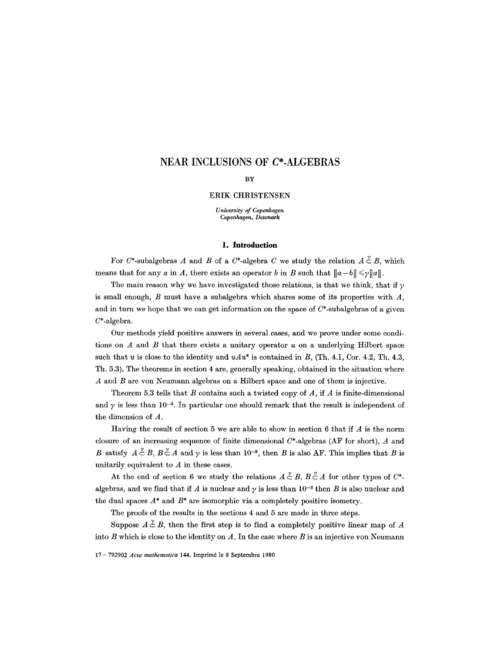# **NEAR INCLUSIONS OF C\*-ALGEBRAS**

#### BY

# ERIK CHRISTENSEN

*University of Copenhagen Copenhagen, Denmark* 

#### **1. Introduction**

For C\*-subalgebras A and B of a C\*-algebra C we study the relation  $A \stackrel{\sim}{\subset} B$ , which means that for any a in A, there exists an operator b in B such that  $||a-b|| \le \gamma ||a||$ .

The main reason why we have investigated those relations, is that we think, that if  $\gamma$ is small enough,  $B$  must have a subalgebra which shares some of its properties with  $A$ , and in turn we hope that we can get information on the space of  $C^*$ -subalgebras of a given  $C^*$ -algebra.

Our methods yield positive answers in several cases, and we prove under some conditions on  $A$  and  $B$  that there exists a unitary operator  $u$  on a underlying Hilbert space such that u is close to the identity and  $uAu^*$  is contained in B, (Th. 4.1, Cor. 4.2, Th. 4.3, Th. 5.3). The theorems in section 4 are, generally speaking, obtained in the situation where  $A$  and  $B$  are von Neumann algebras on a Hilbert space and one of them is injective.

Theorem 5.3 tells that B contains such a twisted copy of  $A$ , if  $A$  is finite-dimensional and  $\gamma$  is less than 10<sup>-4</sup>. In particular one should remark that the result is independent of the dimension of A.

Having the result of section 5 we are able to show in section 6 that if  $A$  is the norm closure of an increasing sequence of finite dimensional  $C^*$ -algebras (AF for short), A and B satisfy  $A \stackrel{\gamma}{\subset} B$ ,  $B \stackrel{\gamma}{\subset} A$  and  $\gamma$  is less than 10<sup>-9</sup>, then B is also AF. This implies that B is unitarily equivalent to  $A$  in these cases.

At the end of section 6 we study the relations  $A \stackrel{\nu}{\subset} B$ ,  $B \stackrel{\nu}{\subset} A$  for other types of  $C^*$ . algebras, and we find that if A is nuclear and  $\gamma$  is less than 10<sup>-2</sup> then B is also nuclear and the dual spaces  $A^*$  and  $B^*$  are isomorphic via a completely positive isometry.

The proofs of the results in the sections 4 and 5 are made in three steps.

Suppose  $A \nleq B$ , then the first step is to find a completely positive linear map of A into  $\hat{B}$  which is close to the identity on  $A$ . In the case where  $B$  is an injective yon Neumann

17- 792902 *Acta mathematica* 144. Imprim6 le 8 Septembre 1980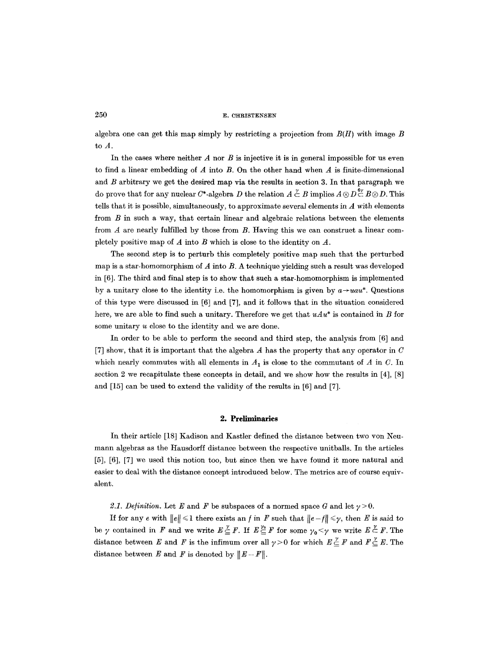algebra one can get this map simply by restricting a projection from *B(H)* with image B to A.

In the cases where neither  $A$  nor  $B$  is injective it is in general impossible for us even to find a linear embedding of  $A$  into  $B$ . On the other hand when  $A$  is finite-dimensional and  $B$  arbitrary we get the desired map via the results in section 3. In that paragraph we do prove that for any nuclear C\*-algebra D the relation  $A \nsubseteq B$  implies  $A \otimes D \nsubseteq B \otimes D$ . This tells that it is possible, simultaneously, to approximate several elements in  $\mathcal A$  with elements from B in such a way, that certain linear and algebraic relations between the elements from  $A$  are nearly fulfilled by those from  $B$ . Having this we can construct a linear completely positive map of  $A$  into  $B$  which is close to the identity on  $A$ .

The second step is to perturb this completely positive map such that the perturbed map is a star-homomorphism of  $A$  into  $B$ . A technique yielding such a result was developed in [6]. The third and final step is to show that such a star-homomorphism is implemented by a unitary close to the identity i.e. the homomorphism is given by  $a \rightarrow u a u^*$ . Questions of this type were discussed in [6] and [7], and it follows that in the situation considered here, we are able to find such a unitary. Therefore we get that  $u\mathcal{A}u^*$  is contained in B for some unitary u close to the identity and we are done.

In order to be able to perform the second and third step, the analysis from [6] and [7] show, that it is important that the algebra  $A$  has the property that any operator in  $C$ which nearly commutes with all elements in  $A_1$  is close to the commutant of A in C. In section 2 we recapitulate these concepts in detail, and we show how the results in [4], [8] and [15] can be used to extend the validity of the results in [6] and [7].

## **2. Preliminaries**

In their article [18] Kadison and Kastler defined the distance between two von Neumann algebras as the Hausdorff distance between the respective unitballs. In the articles [5], [6], [7] we used this notion too, but since then we have found it more natural and easier to deal with the distance concept introduced below. The metrics are of course equivalent.

2.1. Definition. Let E and F be subspaces of a normed space G and let  $\gamma > 0$ .

If for any e with  $||e|| \leq 1$  there exists an f in F such that  $||e-f|| \leq \gamma$ , then E is said to be  $\gamma$  contained in F and we write  $E \leq F$ . If  $E \leq F$  for some  $\gamma_0 < \gamma$  we write  $E \leq F$ . The distance between E and F is the infimum over all  $\gamma > 0$  for which  $E \leq F$  and  $F \leq E$ . The distance between E and F is denoted by  $||E-F||$ .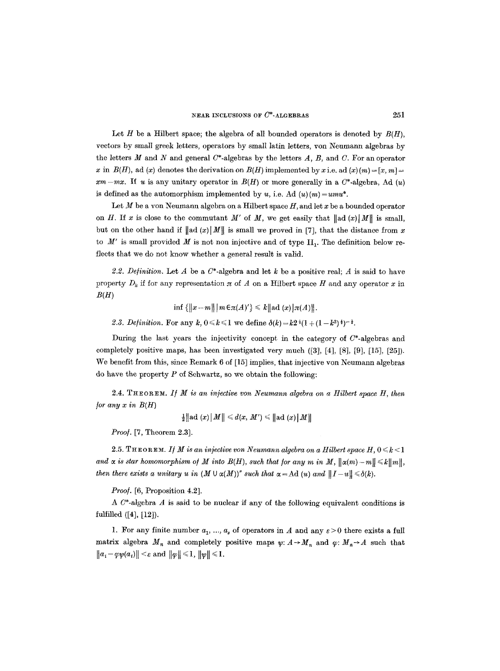Let H be a Hilbert space; the algebra of all bounded operators is denoted by  $B(H)$ . vectors by small greek letters, operators by small latin letters, yon Neumann algebras by the letters M and N and general  $C^*$ -algebras by the letters A, B, and C. For an operator x in  $B(H)$ , ad (x) denotes the derivation on  $B(H)$  implemented by x i.e. ad (x)  $(m) = [x, m] =$  $xm-mx$ . If u is any unitary operator in  $B(H)$  or more generally in a  $C^*$ -algebra, Ad  $(u)$ is defined as the automorphism implemented by *u*, i.e. Ad  $(u)(m) = umu^*$ .

Let M be a yon Neumann algebra on a Hilbert space  $H$ , and let x be a bounded operator on H. If x is close to the commutant M' of M, we get easily that  $\|ad(x)|M\|$  is small, but on the other hand if  $\|\text{ad}(x)\|M\|$  is small we proved in [7], that the distance from x to  $M'$  is small provided M is not non injective and of type  $II_1$ . The definition below reflects that we do not know whether a general result is valid.

2.2. Definition. Let A be a  $C^*$ -algebra and let k be a positive real; A is said to have property  $D_k$  if for any representation  $\pi$  of A on a Hilbert space H and any operator x in *B(H)* 

inf  ${\{||x-m|| | m \in \pi(A)'\} \leq k || \text{ad}(x)| \pi(A) ||}.$ 

2.3. *Definition.* For any  $k, 0 \le k \le 1$  we define  $\delta(k) = k^2 (1 + (1 - k^2)^{\frac{1}{2}})^{-\frac{1}{2}}$ .

During the last years the injectivity concept in the category of  $C^*$ -algebras and completely positive maps, has been investigated very much ([3], [4], [8], [9], [15], [25]). We benefit from this, since Remark 6 of [15] implies, that injective von Neumann algebras do have the property  $P$  of Schwartz, so we obtain the following:

 $2.4.$  THEOREM. If  $M$  is an injective von Neumann algebra on a Hilbert space  $H$ , then *for any x in*  $B(H)$ 

$$
\tfrac{1}{2}\big\|\text{ad }(x)\big\vert\textit{M}\big\|\leqslant d(x,\textit{M}')\leqslant \big\|\text{ad }(x)\big\vert\textit{M}\big\|
$$

*Proo].* [7, Theorem 2.3].

2.5. THEOREM. *If M is an injective von Neumann algebra on a Hilbert space H,*  $0 \le k \le 1$ and  $\alpha$  is star homomorphism of  $M$  into  $B(H)$ , such that for any  $m$  in  $M$ ,  $\|\alpha(m)-m\| \leq k\|m\|$ , *then there exists a unitary u in*  $(M \cup \alpha(M))^r$  *such that*  $\alpha = \mathrm{Ad}(u)$  *and*  $||I-u|| \leq \delta(k)$ *.* 

*Proof.* [6, Proposition 4.2].

A  $C^*$ -algebra  $A$  is said to be nuclear if any of the following equivalent conditions is fulfilled ([4], [12]).

1. For any finite number  $a_1, ..., a_s$  of operators in A and any  $\varepsilon > 0$  there exists a full matrix algebra  $M_n$  and completely positive maps  $\psi: A \to M_n$  and  $\varphi: M_n \to A$  such that  $||a_i-\varphi \psi(a_i)|| < \varepsilon$  and  $||\varphi|| \leq 1$ ,  $||\psi|| \leq 1$ .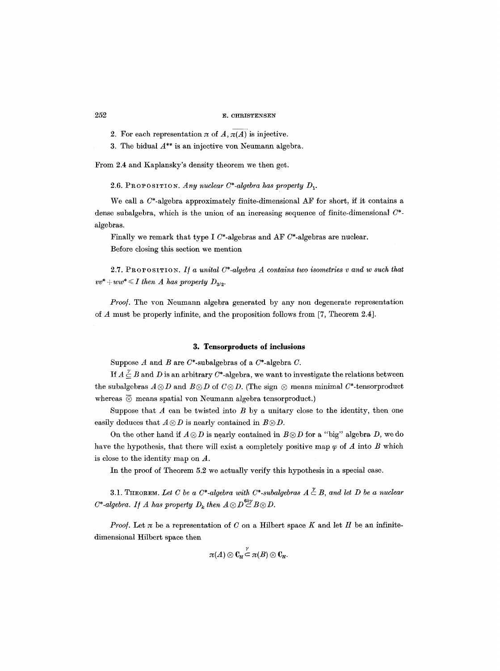2. For each representation  $\pi$  of  $\overline{A}, \overline{\pi(A)}$  is injective.

3. The bidual *A\*\** is an injective yon Neumann algebra.

From 2.4 and Kaplansky's density theorem we then get.

2.6. PROPOSITION. Any nuclear  $C^*$ -algebra has property  $D_1$ .

We call a  $C^*$ -algebra approximately finite-dimensional AF for short, if it contains a dense subalgebra, which is the union of an increasing sequence of finite-dimensional *C\**  algebras.

Finally we remark that type I  $C^*$ -algebras and AF  $C^*$ -algebras are nuclear. Before closing this section we mention

2.7. PROPOSITION. *I/ a unital C\*-algebra A contains two isometries v and w such that*   $vv^* + ww^* \leq I$  then A has property  $D_{3/2}$ .

*Proo].* The yon Neumann algebra generated by any non degenerate representation of A must be properly infinite, and the proposition follows from [7, Theorem 2.4].

## **3. Tensorproduets of inclusions**

Suppose  $A$  and  $B$  are  $C^*$ -subalgebras of a  $C^*$ -algebra  $C$ .

If  $A \overset{\gamma}{\subseteq} B$  and D is an arbitrary C\*-algebra, we want to investigate the relations between the subalgebras  $A \otimes D$  and  $B \otimes D$  of  $C \otimes D$ . (The sign  $\otimes$  means minimal  $C^*$ -tensorproduct whereas  $\overline{\otimes}$  means spatial von Neumann algebra tensorproduct.)

Suppose that  $A$  can be twisted into  $B$  by a unitary close to the identity, then one easily deduces that  $A \otimes D$  is nearly contained in  $B \otimes D$ .

On the other hand if  $A \otimes D$  is nearly contained in  $B \otimes D$  for a "big" algebra D, we do have the hypothesis, that there will exist a completely positive map  $\varphi$  of A into B which is close to the identity map on A.

In the proof of Theorem 5.2 we actually verify this hypothesis in a special case.

3.1. THEOREM. Let C be a C<sup>\*</sup>-algebra with C<sup>\*</sup>-subalgebras  $A \overset{\nu}{\subset} B$ , and let D be a nuclear  $C^*$ -algebra. If A has property  $D_k$  then  $A \otimes D^{\mathbf{6k\gamma}} B \otimes D$ .

*Proof.* Let  $\pi$  be a representation of  $C$  on a Hilbert space  $K$  and let  $H$  be an infinitedimensional Hilbert space then

$$
\pi(A)\otimes \operatorname{C}_H\overset{\prime}{\subset} \pi(B)\otimes \operatorname{C}_H.
$$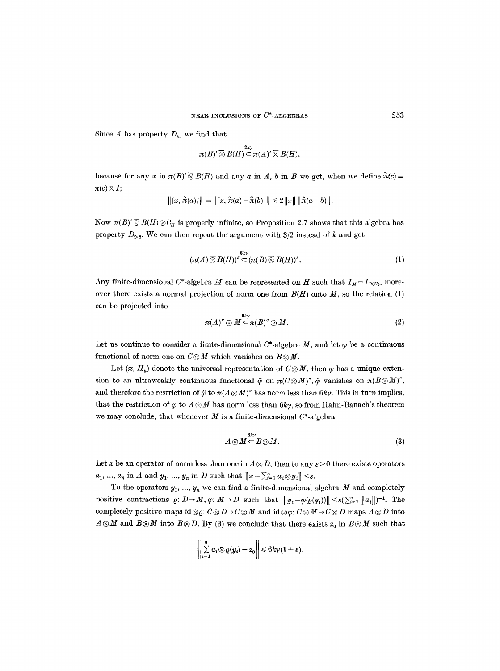Since A has property  $D_k$ , we find that

$$
\pi(B)'\overline{\otimes}B(H)\overline{\subseteq} \pi(A)'\overline{\otimes}B(H),
$$

because for any x in  $\pi(B) \otimes B(H)$  and any a in A, b in B we get, when we define  $\tilde{\pi}(c)$  $\pi(c)\otimes I;$ 

$$
\left\|[x,\tilde{\pi}(a)]\right\|=\left\|[x,\tilde{\pi}(a)-\tilde{\pi}(b)]\right\|\leq 2\left\|x\right\|\left\|\tilde{\pi}(a-b)\right\|.
$$

Now  $\pi(B)'\overline{\otimes}B(H)\otimes\mathbb{C}_H$  is properly infinite, so Proposition 2.7 shows that this algebra has property  $D_{3/2}$ . We can then repeat the argument with 3/2 instead of k and get

$$
(\pi(A)\mathbin{\overline{\otimes}} B(H))'' \mathbin{\overline{\otimes}} \mathbin{\overline{\otimes}} \mathbin{\mathcal{B}}(H))''.
$$
 (1)

Any finite-dimensional C\*-algebra M can be represented on H such that  $I_M = I_{B(H)}$ , moreover there exists a normal projection of norm one from  $B(H)$  onto  $M$ , so the relation (1) can be projected into

$$
\pi(A)^{\prime\prime}\otimes M \stackrel{6k\gamma\prime}{=}\pi(B)^{\prime\prime}\otimes M. \tag{2}
$$

Let us continue to consider a finite-dimensional  $C^*$ -algebra M, and let  $\varphi$  be a continuous functional of norm one on  $C \otimes M$  which vanishes on  $B \otimes M$ .

Let  $(\pi, H_u)$  denote the universal representation of  $C \otimes M$ , then  $\varphi$  has a unique extension to an ultraweakly continuous functional  $\tilde{\varphi}$  on  $\pi(C\otimes M)'$ ,  $\tilde{\varphi}$  vanishes on  $\pi(B\otimes M)'$ , and therefore the restriction of  $\tilde{\varphi}$  to  $\pi(A \otimes M)'$  has norm less than  $6ky$ . This in turn implies, that the restriction of  $\varphi$  to  $A \otimes M$  has norm less than  $6ky$ , so from Hahn-Banach's theorem we may conclude, that whenever  $M$  is a finite-dimensional  $C^*$ -algebra

$$
A\otimes M \stackrel{6k\gamma}{\subset} B\otimes M. \tag{3}
$$

Let x be an operator of norm less than one in  $A \otimes D$ , then to any  $\varepsilon > 0$  there exists operators  $a_1, ..., a_n$  in A and  $y_1, ..., y_n$  in D such that  $||x - \sum_{i=1}^n a_i \otimes y_i|| < \varepsilon$ .

To the operators  $y_1, ..., y_n$  we can find a finite-dimensional algebra  $M$  and completely positive contractions  $\varrho: D \to M$ ,  $\varphi: M \to D$  such that  $||y_i - \varphi(\varrho(y_i))|| \leq \varepsilon(\sum_{i=1}^n ||a_i||)^{-1}$ . The completely positive maps  $id \otimes \varrho: C \otimes D \to C \otimes M$  and  $id \otimes \varphi: C \otimes M \to C \otimes D$  maps  $A \otimes D$  into  $A\otimes M$  and  $B\otimes M$  into  $B\otimes D$ . By (3) we conclude that there exists  $z_0$  in  $B\otimes M$  such that

$$
\left\|\sum_{i=1}^n a_i\otimes \varrho(y_i)-z_0\right\|\leqslant 6k\gamma(1+\varepsilon).
$$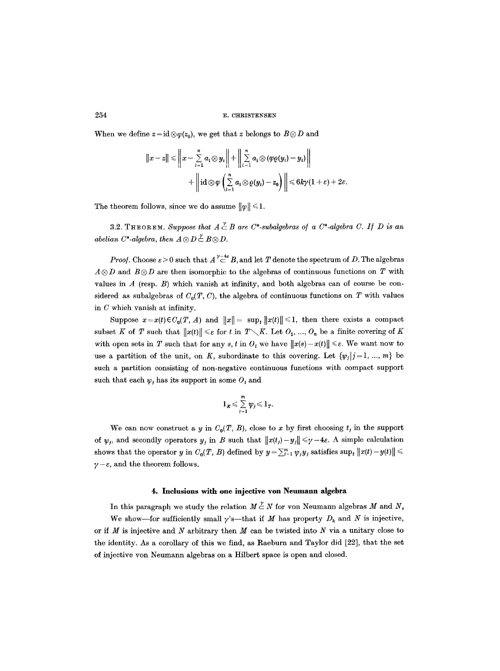When we define  $z = id \otimes \varphi(z_0)$ , we get that z belongs to  $B \otimes D$  and

$$
||x-z|| \le ||x-\sum_{i=1}^n a_i \otimes y_i|| + ||\sum_{i=1}^n a_i \otimes (\varphi \varrho(y_i)-y_i)||
$$
  
+ 
$$
||\mathrm{id} \otimes \varphi \left(\sum_{i=1}^n a_i \otimes \varrho(y_i)-z_0\right)|| \le 6k\gamma(1+\varepsilon)+2\varepsilon
$$

The theorem follows, since we do assume  $\|\varphi\| \leq 1$ .

3.2. THEOREM. *Suppose that*  $A \overset{\gamma}{\subset} B$  are  $C^*$ -subalgebras of a  $C^*$ -algebra C. If D is an *abelian C\*-algebra, then*  $A \otimes D \stackrel{\nu}{\subset} B \otimes D$ .

*Proof.* Choose  $\varepsilon > 0$  such that  $A \stackrel{\gamma - 4\varepsilon}{\subset} B$ , and let T denote the spectrum of D. The algebras  $A \otimes D$  and  $B \otimes D$  are then isomorphic to the algebras of continuous functions on T with values in  $A$  (resp.  $B$ ) which vanish at infinity, and both algebras can of course be considered as subalgebras of  $C_0(T, C)$ , the algebra of continuous functions on T with values in C which vanish at infinity.

Suppose  $x = x(t) \in C_0(T, A)$  and  $||x|| = \sup_t ||x(t)|| \le 1$ , then there exists a compact subset K of T such that  $||x(t)|| \leq \varepsilon$  for t in  $T \setminus K$ . Let  $O_1, ..., O_n$  be a finite covering of K with open sets in T such that for any s, t in  $O_i$  we have  $||x(s)-x(t)|| \leq \varepsilon$ . We want now to use a partition of the unit, on K, subordinate to this covering. Let  $\{\psi_j | j = 1, ..., m\}$  be such a partition consisting of non-negative continuous functions with compact support such that each  $\psi_i$  has its support in some  $O_i$  and

$$
1_K \leqslant \sum\limits_{j=1}^m \psi_j \leqslant 1_T.
$$

We can now construct a y in  $C_0(T, B)$ , close to x by first choosing  $t_i$  in the support of  $\psi_j$ , and secondly operators  $y_j$  in B such that  $||x(t_j)-y_j|| \leq \gamma - 4\varepsilon$ . A simple calculation shows that the operator y in  $C_0(T, B)$  defined by  $y = \sum_{j=1}^m \psi_j y_j$  satisfies  $\sup_t ||x(t) - y(t)|| \leq$  $\gamma - \varepsilon$ , and the theorem follows.

#### **4. Inclusions with one injective yon Neumann algebra**

In this paragraph we study the relation  $M \nightharpoonup N$  for von Neumann algebras M and N, We show—for sufficiently small  $\gamma$ 's—that if M has property  $D_k$  and N is injective, or if  $M$  is injective and  $N$  arbitrary then  $M$  can be twisted into  $N$  via a unitary close to the identity. As a corollary of this we find, as Raeburn and Taylor did [22], that the set

of injective yon Neumann algebras on a Hilbert space is open and closed.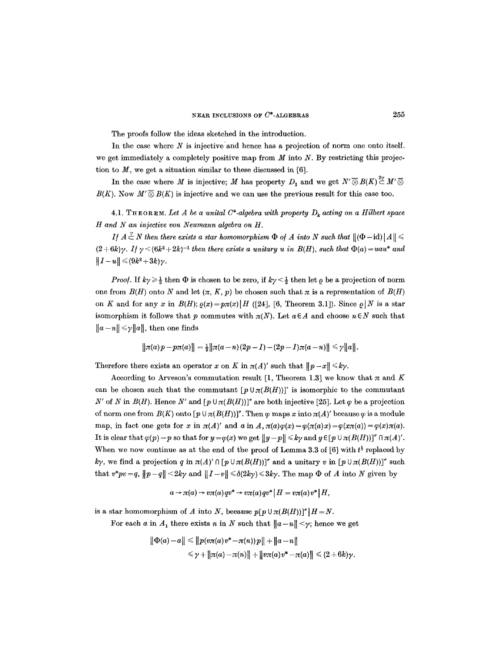The proofs follow the ideas sketched in the introduction.

In the case where  $N$  is injective and hence has a projection of norm one onto itself. we get immediately a completely positive map from  $M$  into  $N$ . By restricting this projection to  $M$ , we get a situation similar to these discussed in [6].

In the case where M is injective; M has property  $D_1$  and we get  $N' \overline{\otimes} B(K) \stackrel{2\vee}{\subset} M' \overline{\otimes}$  $B(K)$ . Now  $M' \overline{\otimes} B(K)$  is injective and we can use the previous result for this case too.

**4.1.** THEOREM. Let A be a unital C\*-algebra with property  $D_k$  acting on a Hilbert space *H and N an injective yon Neumann algebra on H.* 

*If*  $A \overset{\sim}{\subset} N$  then there exists a star homomorphism  $\Phi$  of  $A$  into  $N$  such that  $\|(\Phi - id)\|A\| \leq$  $(2+6k)\gamma$ . *If*  $\gamma$  <  $(6k^2+2k)^{-1}$  then there exists a unitary u in  $B(H)$ , such that  $\Phi(a) = uau^*$  and  $\|I-u\| \leqslant (9k^2+3k)\gamma.$ 

*Proof.* If  $k\gamma \geq \frac{1}{2}$  then  $\Phi$  is chosen to be zero, if  $k\gamma \leq \frac{1}{2}$  then let  $\rho$  be a projection of norm one from  $B(H)$  onto N and let  $(\pi, K, p)$  be chosen such that  $\pi$  is a representation of  $B(H)$ on K and for any x in  $B(H)$ ;  $\rho(x)=p\pi(x)[H$  ([24], [6, Theorem 3.1]). Since  $\rho|N$  is a star isomorphism it follows that p commutes with  $\pi(N)$ . Let  $a \in A$  and choose  $n \in N$  such that  $||a-n|| \leq \gamma ||a||$ , then one finds

$$
\|\pi(a)p-p\pi(a)\|=\tfrac{1}{2}\|\pi(a-n)(2p-1)-(2p-1)\pi(a-n)\|\leq \gamma\|a\|.
$$

Therefore there exists an operator x on K in  $\pi(A)'$  such that  $||p-x|| \le k\gamma$ .

According to Arveson's commutation result [1, Theorem 1.3] we know that  $\pi$  and K can be chosen such that the commutant  $[p \cup \pi(B(H))]'$  is isomorphic to the commutant N' of N in  $B(H)$ . Hence N' and  $[p \cup \pi(B(H))]$ " are both injective [25]. Let  $\varphi$  be a projection of norm one from  $B(K)$  onto  $\{p \cup \pi(B(H))\}^n$ . Then  $\varphi$  maps x into  $\pi(A)'$  because  $\varphi$  is a module map, in fact one gets for x in  $\pi(A)'$  and a in  $A, \pi(a)\varphi(x)=\varphi(\pi(a)x)=\varphi(x\pi(a))=\varphi(x)\pi(a)$ . It is clear that  $\varphi(p) = p$  so that for  $y = \varphi(x)$  we get  $||y-p|| \leq k\gamma$  and  $y \in [p \cup \pi(B(H))]'' \cap \pi(A)'$ . When we now continue as at the end of the proof of Lemma 3.3 of [6] with  $t^{\frac{1}{2}}$  replaced by ky, we find a projection q in  $\pi(A)' \cap [p \cup \pi(B(H))]$ " and a unitary v in  $[p \cup \pi(B(H))]$ " such that  $v^*pv=q$ ,  $||p-q|| < 2k\gamma$  and  $||I-v|| \le \delta(2k\gamma) \le 3k\gamma$ . The map  $\Phi$  of A into N given by

$$
a \rightarrow \pi(a) \rightarrow v\pi(a) qv^* \rightarrow v\pi(a) qv^* \mid H = v\pi(a)v^* \mid H,
$$

is a star homomorphism of A into N, because  $p[p \cup \pi(B(H))]''|H = N$ .

For each a in  $A_1$  there exists n in N such that  $||a-n|| < \gamma$ ; hence we get

$$
\|\Phi(a)-a\| \leq \|p(v\pi(a)v^*-\pi(n))p\|+\|a-n\|
$$
  

$$
\leq \gamma+\|\pi(a)-\pi(n)\|+\|v\pi(a)v^*-\pi(a)\| \leq (2+6k)\gamma.
$$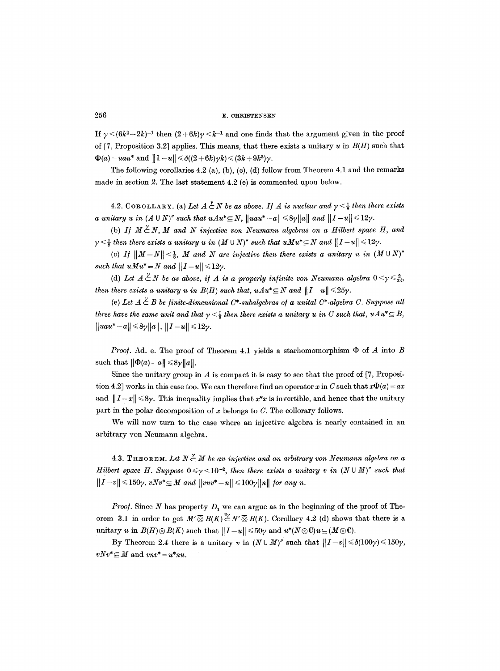If  $\gamma < (6k^2 + 2k)^{-1}$  then  $(2 + 6k)\gamma < k^{-1}$  and one finds that the argument given in the proof of [7, Proposition 3.2] applies. This means, that there exists a unitary u in *B(H)* such that  $\Phi(a) = uau^*$  and  $||1 - u|| \leq \delta((2 + 6k)\gamma k) \leq (3k + 9k^2)\gamma$ .

The following corollaries  $4.2$  (a), (b), (c), (d) follow from Theorem  $4.1$  and the remarks made in section 2. The last statement 4.2 (e) is commented upon below.

4.2. COROLLARY. (a) Let  $A \nleq N$  be as above. If A is nuclear and  $\gamma \leq \frac{1}{8}$  then there exists *a unitary u in*  $(A \cup N)''$  such that  $uAu^* \subseteq N$ ,  $||uau^* - a|| \leq 8\gamma ||a||$  and  $||I-u|| \leq 12\gamma$ .

(b) *If*  $M \nleq N$ , *M* and *N* injective von Neumann algebras on a Hilbert space *H*, and  $\gamma < \frac{1}{2}$  then there exists a unitary u in  $(M \cup N)$ " such that  $u M u^* \subseteq N$  and  $||I-u|| \leq 12\gamma$ .

(c) *If*  $||M-N|| < \frac{1}{8}$ , *M* and *N* are injective then there exists a unitary u in  $(M \cup N)^n$ *such that*  $uMu^* = N$  *and*  $||I-u|| \leq 12\gamma$ *.* 

(d) Let  $A \overset{\nu}{\subset} N$  be as above, if A is a properly infinite von Neumann algebra  $0 \leq \gamma \leq \frac{2}{33}$ , *then there exists a unitary u in B(H) such that, uAu\** $\subseteq$ *N and*  $||I-u|| \leq 25\gamma$ *.* 

(e) Let  $A \overset{\gamma}{\subset} B$  be finite-dimensional C\*-subalgebras of a unital C\*-algebra C. Suppose all *three have the same unit and that*  $\gamma < \frac{1}{4}$  *then there exists a unitary u in C such that, uAu*<sup>\*</sup> $\subseteq$  *B*,  $\|uau^*-a\| \leq 8\gamma \|a\|, \|I-u\| \leq 12\gamma.$ 

*Proof.* Ad. e. The proof of Theorem 4.1 yields a starhomomorphism  $\Phi$  of A into B such that  $\|\Phi(a)-a\|\leq 8\gamma \|a\|$ .

Since the unitary group in  $A$  is compact it is easy to see that the proof of [7, Proposition 4.2] works in this case too. We can therefore find an operator x in C such that  $x\Phi(a) = ax$ and  $||I-x|| \leq 8\gamma$ . This inequality implies that  $x^*x$  is invertible, and hence that the unitary part in the polar decomposition of  $x$  belongs to  $C$ . The collorary follows.

We will now turn to the case where an injective algebra is nearly contained in an arbitrary yon Neumann algebra.

4.3. THEOREM. Let  $N \nightharpoonup M$  be an injective and an arbitrary von Neumann algebra on a *Hilbert space H. Suppose*  $0 \le \gamma \le 10^{-2}$ , *then there exists a unitary v in*  $(N \cup M)^{r}$  *such that*  $||I - v|| \le 150\gamma$ ,  $vNv^* \subseteq M$  and  $||vnv^* - n|| \le 100\gamma ||n||$  for any n.

*Proof.* Since  $N$  has property  $D_1$  we can argue as in the beginning of the proof of Theorem 3.1 in order to get  $M' \overline{\otimes} B(K) \stackrel{2\vee}{\sim} N' \overline{\otimes} B(K)$ . Corollary 4.2 (d) shows that there is a unitary u in  $B(H) \otimes B(K)$  such that  $||I-u|| \leq 50\gamma$  and  $u^*(N \otimes \mathbb{C})u \subseteq (M \otimes \mathbb{C})$ .

By Theorem 2.4 there is a unitary v in  $(N \cup M)''$  such that  $||I-v|| \leq \delta(100\gamma) \leq 150\gamma$ ,  $vNv^* \subseteq M$  and  $vnv^* = u^*nu$ .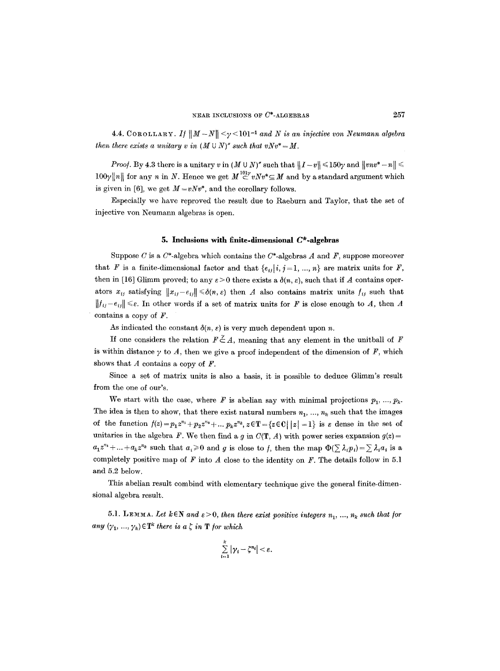4.4. COROLLARY. If  $||M-N|| < \gamma < 101$ <sup>-1</sup> and N is an injective von Neumann algebra *then there exists a unitary v in*  $(M \cup N)''$  *such that vNv*\* =  $M$ .

*Proof.* By 4.3 there is a unitary v in  $(M \cup N)''$  such that  $||I - v|| \leq 150\gamma$  and  $||vnv^* - n|| \leq$  $100\gamma ||n||$  for any *n* in *N*. Hence we get  $M \n\subset \n\infty$  *vNv*<sup>\*</sup> $\subseteq$  *M* and by a standard argument which is given in [6], we get  $M = vNv^*$ , and the corollary follows.

Especially we have reproved the result due to Raeburn and Taylor, that the set of injective yon Neumann algebras is open.

## **5. Inclusions with finlte-dimensional C\*-algebras**

Suppose C is a  $C^*$ -algebra which contains the  $C^*$ -algebras A and F, suppose moreover that F is a finite-dimensional factor and that  $\{e_{ij} | i, j = 1, ..., n\}$  are matrix units for F, then in [16] Glimm proved; to any  $\varepsilon > 0$  there exists a  $\delta(n, \varepsilon)$ , such that if A contains operators  $x_{ij}$  satisfying  $||x_{ij}-e_{ij}|| \leq \delta(n, \varepsilon)$  then A also contains matrix units  $f_{ij}$  such that  $||f_{ij}-e_{ij}|| \leq \varepsilon$ . In other words if a set of matrix units for F is close enough to A, then A contains a copy of  $F$ .

As indicated the constant  $\delta(n, \varepsilon)$  is very much dependent upon n.

If one considers the relation  $F \stackrel{\gamma}{\subset} A$ , meaning that any element in the unitball of F is within distance  $\gamma$  to A, then we give a proof independent of the dimension of F, which shows that  $A$  contains a copy of  $F$ .

Since a set of matrix units is also a basis, it is possible to deduce Glimm's result from the one of our's.

We start with the case, where F is abelian say with minimal projections  $p_1, ..., p_k$ . The idea is then to show, that there exist natural numbers  $n_1, ..., n_k$  such that the images of the function  $f(z)=p_1z^{n_1}+p_2z^{n_2}+\ldots p_kz^{n_k}$ ,  $z\in\mathbb{T}=\{z\in\mathbb{C} \mid |z|=1\}$  is  $\varepsilon$  dense in the set of unitaries in the algebra F. We then find a g in  $C(T, A)$  with power series expansion  $g(z) =$  $a_1z^{n_1}+\ldots+a_kz^{n_k}$  such that  $a_i\geqslant 0$  and g is close to f, then the map  $\Phi(\sum \lambda_i p_i)=\sum \lambda_i a_i$  is a completely positive map of  $F$  into  $A$  close to the identity on  $F$ . The details follow in 5.1 and 5.2 below.

This abelian result combind with elementary technique give the general finite-dimensional algebra result.

5.1. LEMMA. Let  $k \in \mathbb{N}$  and  $\varepsilon > 0$ , then there exist positive integers  $n_1, ..., n_k$  such that for *any*  $(\gamma_1, ..., \gamma_k) \in \mathbf{T}^k$  there is a  $\zeta$  in  $\mathbf{T}$  for which

$$
\sum_{i=1}^k |\gamma_i - \zeta^{n_i}| < \varepsilon.
$$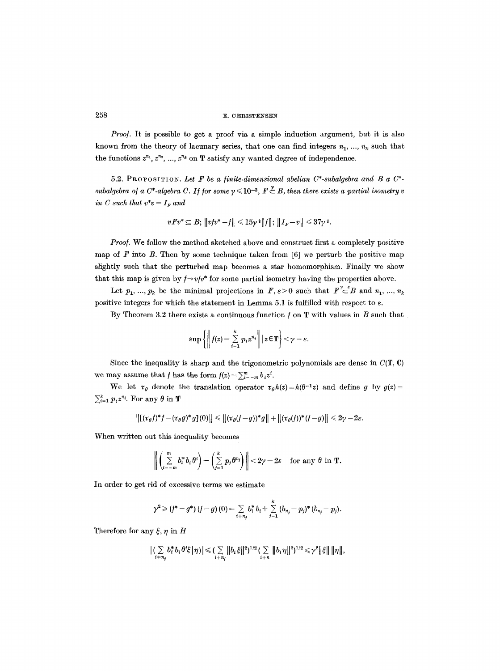*Proof.* It is possible to get a proof via a simple induction argument, but it is also known from the theory of lacunary series, that one can find integers  $n_1, ..., n_k$  such that the functions  $z^{n_1}, z^{n_2}, ..., z^{n_k}$  on  $T$  satisfy any wanted degree of independence.

5.2. PROPOSITION. Let F be a finite-dimensional abelian  $C^*$ -subalgebra and B a  $C^*$ subalgebra of a C\*-algebra C. If for some  $\gamma \leq 10^{-3}$ ,  $F \stackrel{\gamma}{\subset} B$ , then there exists a partial isometry v *in C such that*  $v^*v = I_F$  and

$$
vFv^*\subseteq B;\,\|vtv^*-f\|\leqslant 15\gamma^{\frac14}\|f\|;\,\|I_{\scriptscriptstyle F}-v\|\leqslant 37\gamma^{\frac12}
$$

*Proof.* We follow the method sketched above and construct first a completely positive map of  $F$  into  $B$ . Then by some technique taken from [6] we perturb the positive map slightly such that the perturbed map becomes a star homomorphism. Finally we show that this map is given by  $f \rightarrow v f v^*$  for some partial isometry having the properties above.

Let  $p_1, ..., p_k$  be the minimal projections in  $F, \varepsilon > 0$  such that  $F\subset E$  and  $n_1, ..., n_k$ positive integers for which the statement in Lemma 5.1 is fulfilled with respect to  $\varepsilon$ .

By Theorem 3.2 there exists a continuous function  $f$  on  $T$  with values in  $B$  such that

$$
\sup\left\{\bigg\|f(z)-\sum_{i=1}^k p_i z^{n_i}\bigg\| |z\!\in\!\mathbf{T}\right\}<\gamma-\varepsilon
$$

Since the inequality is sharp and the trigonometric polynomials are dense in  $C(T, 0)$ we may assume that f has the form  $f(z) = \sum_{i=-m}^{m} b_i z^i$ .

We let  $\tau_{\theta}$  denote the translation operator  $\tau_{\theta}h(z)=h(\theta^{-1}z)$  and define g by  $g(z)=$  $\sum_{i=1}^k p_i z^{n_i}$ . For any  $\theta$  in **T** 

$$
\left\|[(\tau_{\theta}f)^*f-(\tau_{\theta}g)^*g](0)\right\|\leq \|(\tau_{\theta}(f-g))^*g\|+\|(\tau_{\theta}(f))^*(f-g)\|\leq 2\gamma-2\varepsilon.
$$

When written out this inequality becomes

$$
\left\|\left(\sum_{i=-m}^m b_i^* b_i \theta^i\right) - \left(\sum_{j=1}^k p_j \theta^{n_j}\right)\right\| < 2\gamma - 2\varepsilon \quad \text{for any } \theta \text{ in } \mathbf{T}.
$$

In order to get rid of excessive terms we estimate

$$
\gamma^2 \geq (f^* - g^*) (f - g) (0) = \sum_{i + n_j} b_i^* b_i + \sum_{j = 1}^k (b_{n_j} - p_j)^* (b_{n_j} - p_j).
$$

Therefore for any  $\xi, \eta$  in H

$$
\big| \big( \sum_{i \neq n_j} b_i^* b_i \theta^i \xi \big| \eta \big) \big| \leqslant \big( \sum_{i \neq n_j} \big\| b_i \xi \big\|^2 \big)^{1/2} \big( \sum_{i \neq n} \big\| b_i \eta \big\|^2 \big)^{1/2} \leqslant \gamma^2 \big\| \xi \big\| \, \|\eta\|,
$$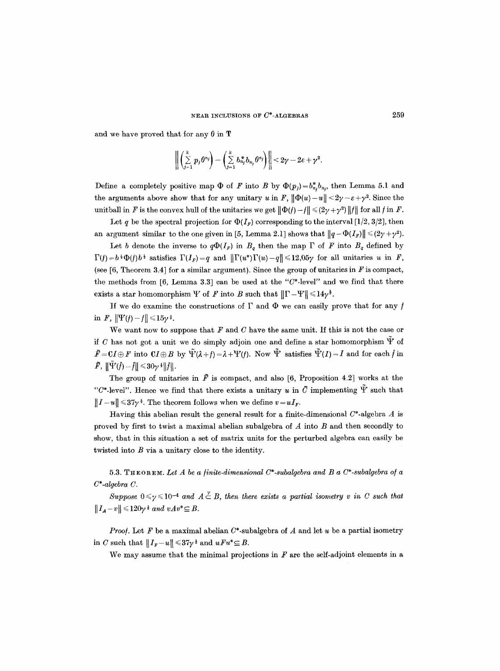and we have proved that for any  $\theta$  in T

$$
\left\| \left( \sum_{j=1}^k p_j \theta^{n_j} \right) - \left( \sum_{j=1}^k b_{n_j}^* b_{n_j} \theta^{n_j} \right) \right\| < 2\gamma - 2\varepsilon + \gamma^2.
$$

Define a completely positive map  $\Phi$  of F into B by  $\Phi(p_i) = b_n^* b_{n_i}$ , then Lemma 5.1 and the arguments above show that for any unitary u in F,  $\|\Phi(u) - u\| < 2\gamma - \varepsilon + \gamma^2$ . Since the unitball in F is the convex hull of the unitaries we get  $\|\Phi(f) - f\| \leq (2\gamma + \gamma^2) \|f\|$  for all f in F.

Let q be the spectral projection for  $\Phi(I_F)$  corresponding to the interval [1/2, 3/2], then an argument similar to the one given in [5, Lemma 2.1] shows that  $||q - \Phi(I_F)|| \leq (2\gamma + \gamma^2)$ .

Let b denote the inverse to  $q\Phi(I_F)$  in  $B_q$  then the map  $\Gamma$  of F into  $B_q$  defined by  $\Gamma(f) = b^{\frac{1}{2}} \Phi(f) b^{\frac{1}{2}}$  satisfies  $\Gamma(I_F) = q$  and  $\|\Gamma(u^*)\Gamma(u) - q\| \leq 12.05\gamma$  for all unitaries u in F, (see  $[6,$  Theorem 3.4] for a similar argument). Since the group of unitaries in  $F$  is compact, the methods from [6, Lemma 3.3] can be used at the *"C\*-level"* and we find that there exists a star homomorphism  $\Psi$  of F into B such that  $\|\Gamma - \Psi\| \leq 14\gamma^{\frac{1}{2}}$ .

If we do examine the constructions of  $\Gamma$  and  $\Phi$  we can easily prove that for any f in F,  $||\Psi(f)-f|| \leq 15\gamma^{\frac{1}{2}}$ .

We want now to suppose that  $F$  and  $C$  have the same unit. If this is not the case or if C has not got a unit we do simply adjoin one and define a star homomorphism  $\Psi$  of  $\tilde{F}=C I \oplus F$  into  $C I \oplus B$  by  $\tilde{\Psi}(\lambda + t) = \lambda + \Psi(t)$ . Now  $\tilde{\Psi}$  satisfies  $\tilde{\Psi}(I) = I$  and for each f in  $\tilde{F}$ ,  $\|\tilde{\Psi}(\tilde{f})-\tilde{f}\|\leq 30\gamma^{\frac{1}{2}}\|\tilde{f}\|.$ 

The group of unitaries in  $\tilde{F}$  is compact, and also [6, Proposition 4.2] works at the "C\*-level". Hence we find that there exists a unitary u in  $\tilde{C}$  implementing  $\tilde{F}$  such that  $||I-u|| \leq 37\gamma^{\frac{1}{2}}$ . The theorem follows when we define  $v = uI_r$ .

Having this abelian result the general result for a finite-dimensional  $C^*$ -algebra  $A$  is proved by first to twist a maximal abelian subalgebra of A into B and then secondly to show, that in this situation a set of matrix units for the perturbed algebra can easily be twisted into B via a unitary close to the identity.

5.3. THEOREM. Let A be a finite-dimensional C<sup>\*</sup>-subalgebra and B a C<sup>\*</sup>-subalgebra of a *C\*-algebra C.* 

*Suppose*  $0 \le \gamma \le 10^{-4}$  and  $A \stackrel{\nu}{\subset} B$ , then there exists a partial isometry v in C such that  $||I_A - v|| \leq 120\gamma^2$  and  $vAv^* \subseteq B$ .

*Proof.* Let  $F$  be a maximal abelian  $C^*$ -subalgebra of  $A$  and let  $u$  be a partial isometry in C such that  $||I_{F}-u|| \leq 37\gamma^{\frac{1}{2}}$  and  $uFu^{*} \subseteq B$ .

We may assume that the minimal projections in  $F$  are the self-adjoint elements in a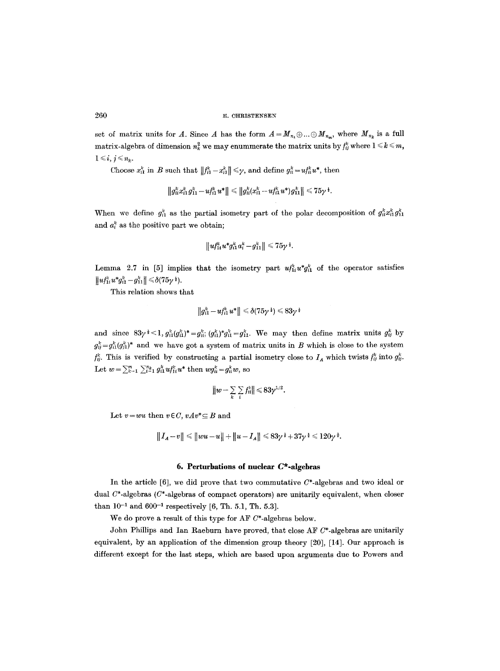set of matrix units for A. Since A has the form  $A = M_{n_1} \oplus ... \oplus M_{n_m}$ , where  $M_{n_k}$  is a full matrix-algebra of dimension  $n_k^2$  we may enummerate the matrix units by  $f_{ij}^k$  where  $1 \leq k \leq m$ ,  $1 \leq i, j \leq n_k$ .

Choose  $x_{i1}^k$  in B such that  $||f_{i1}^k - x_{i1}^k|| \leq \gamma$ , and define  $g_{ii}^k = u f_{ii}^k u^*$ , then

$$
\left\|g_{ii}^kx_{i1}^kg_{11}^k-u_{I1}^{k}u^*\right\|\leqslant \left\|g_{ii}^k(x_{i1}^k-u_{I1}^{k}u^*)g_{11}^{k}\right\|\leqslant 75\gamma^{\frac{1}{2}}.
$$

When we define  $g_{i1}^k$  as the partial isometry part of the polar decomposition of  $g_{ii}^k x_{i1}^k g_{11}^k$ and  $a_i^k$  as the positive part we obtain;

$$
||u_{1i}^{k}u^{*}g_{i1}^{k}a_{i}^{k}-g_{11}^{k}|| \leq 75\gamma^{\frac{1}{2}}.
$$

Lemma 2.7 in [5] implies that the isometry part  $u f_{1i}^k u^* g_{i1}^k$  of the operator satisfies  $||u f_{1i}^k u^* g_{i1}^k - g_{11}^k|| \le \delta (75\gamma^{\frac{1}{2}}).$ 

This relation shows that

$$
\|g_{i1}^k - u f_{i1}^k u^*\| \le \delta (75\gamma^{\frac{1}{2}}) \le 83\gamma^{\frac{1}{2}}
$$

and since  $83\gamma^*$  < 1,  $g_{i1}^k (g_{i1}^k)^* = g_{ii}^k$ ,  $(g_{i1}^k)^* g_{i1}^k = g_{11}^k$ . We may then define matrix units  $g_{ij}^k$  by  $g_{ii}^k = g_{i1}^k (g_{i1}^k)^*$  and we have got a system of matrix units in B which is close to the system  $f_{ij}^k$ . This is verified by constructing a partial isometry close to  $I_A$  which twists  $f_{ij}^k$  into  $g_{ij}^k$ . Let  $w=\sum_{k=1}^m\sum_{i=1}^{n_k} g_{i1}^k uf_{1i}^k u^*$  then  $wg_{ii}^k = g_{ii}^k w$ , so

$$
||w-\sum_{k}\sum_{i}f_{ii}^{k}||\leqslant 83\gamma^{1/2}.
$$

Let  $v = wu$  then  $v \in C$ ,  $vAv^* \subseteq B$  and

$$
||I_A - v|| \le ||wu - u|| + ||u - I_A|| \le 83\gamma^{\frac{1}{2}} + 37\gamma^{\frac{1}{2}} \le 120\gamma^{\frac{1}{2}}.
$$

#### **6. Perturbations of nuclear C\*-algebras**

In the article  $[6]$ , we did prove that two commutative  $C^*$ -algebras and two ideal or dual  $C^*$ -algebras ( $C^*$ -algebras of compact operators) are unitarily equivalent, when closer than  $10^{-1}$  and  $600^{-1}$  respectively [6, Th. 5.1, Th. 5.3].

We do prove a result of this type for AF C\*-algebras below.

John Phillips and Ian Raeburn have proved, that close AF C\*-algebras are unitarily equivalent, by an application of the dimension group theory [20], [14]. Our approach is different except for the last steps, which are based upon arguments due to Powers and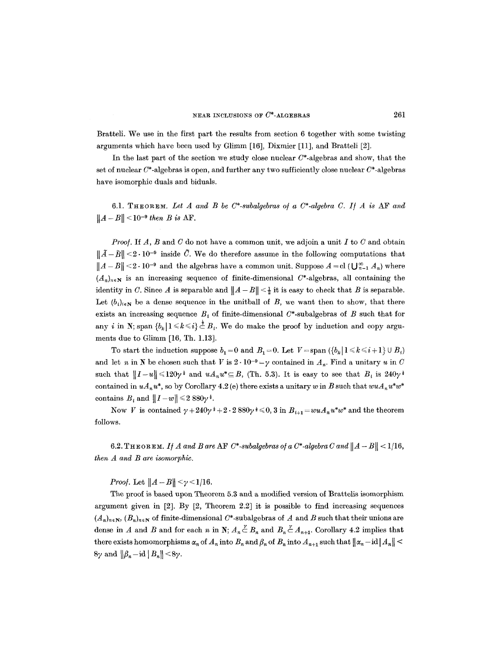Bratteli. We use in the first part the results from section 6 together with some twisting arguments which have been used by Glimm [16], Dixmier [11], and Bratteli [2].

In the last part of the section we study close nuclear  $C^*$ -algebras and show, that the set of nuclear  $C^*$ -algebras is open, and further any two sufficiently close nuclear  $C^*$ -algebras have isomorphic duals and biduals.

6.1. THEOREM. *Let A and B be C\*-subalgebras o/ a C\*-algebra C. I/ A is* AF *and*   $||A-B|| < 10^{-9}$  *then B is AF.* 

*Proof.* If *A, B* and *C* do not have a common unit, we adjoin a unit I to C and obtain  $\|\tilde{A}-\tilde{B}\|<2\cdot 10^{-9}$  inside  $\tilde{C}$ . We do therefore assume in the following computations that  $||A - B|| \le 2 \cdot 10^{-9}$  and the algebras have a common unit. Suppose  $A = \text{cl}(\bigcup_{n=1}^{\infty} A_n)$  where  $(A_n)_{n\in\mathbb{N}}$  is an increasing sequence of finite-dimensional C\*-algebras, all containing the identity in C. Since A is separable and  $||A-B|| < \frac{1}{2}$  it is easy to check that B is separable. Let  $(b_i)_{i\in \mathbb{N}}$  be a dense sequence in the unit ball of B, we want then to show, that there exists an increasing sequence  $B<sub>i</sub>$  of finite-dimensional C\*-subalgebras of B such that for any i in N; span  ${b_k | 1 \le k \le i} \in B_i$ . We do make the proof by induction and copy arguments due to Glimm [16, Th. 1.13].

To start the induction suppose  $b_1=0$  and  $B_1=0$ . Let  $V=\text{span }({b_k | 1 \leq k \leq i+1} \cup B_i)$ and let n in N be chosen such that V is  $2 \cdot 10^{-9} = y$  contained in  $A_n$ . Find a unitary u in C such that  $||I-u|| \leq 120\gamma^{\frac{1}{2}}$  and  $uA_nu^*\subseteq B$ , (Th. 5.3). It is easy to see that  $B_i$  is 240 $\gamma^{\frac{1}{2}}$ contained in  $uA_nu^*$ , so by Corollary 4.2 (e) there exists a unitary w in B such that  $wuA_nu^*w^*$ contains  $B_i$  and  $||I-w|| \leq 2.880\gamma^{\frac{1}{2}}$ .

Now V is contained  $\gamma + 240\gamma^2 + 2 \cdot 2880\gamma^3 \leq 0$ , 3 in  $B_{i+1} = wuA_nu^*w^*$  and the theorem follows.

6.2. THEOREM. If A and B are AF  $C^*$ -subalgebras of a  $C^*$ -algebra C and  $||A - B|| < 1/16$ , *then A and B are isomorphic.* 

*Proof.* Let  $||A - B|| < \gamma < 1/16$ .

**The** proof is based upon Theorem 5.3 and a modified version of Brattelis isomorphism argument given in [2]. By [2, Theorem 2.2] it is possible to find increasing sequences  $(A_n)_{n\in\mathbb{N}}, (B_n)_{n\in\mathbb{N}}$  of finite-dimensional C\*-subalgebras of A and B such that their unions are dense in A and B and for each n in N;  $A_n \overset{y}{\subset} B_n$  and  $B_n \overset{y}{\subset} A_{n+1}$ . Corollary 4.2 implies that there exists homomorphisms  $\alpha_n$  of  $A_n$  into  $B_n$  and  $\beta_n$  of  $B_n$  into  $A_{n+1}$  such that  $\|\alpha_n-\mathrm{id}\|A_n\|$  $8\gamma$  and  $\|\beta_n-\mathrm{id}\,|B_n\|<8\gamma$ .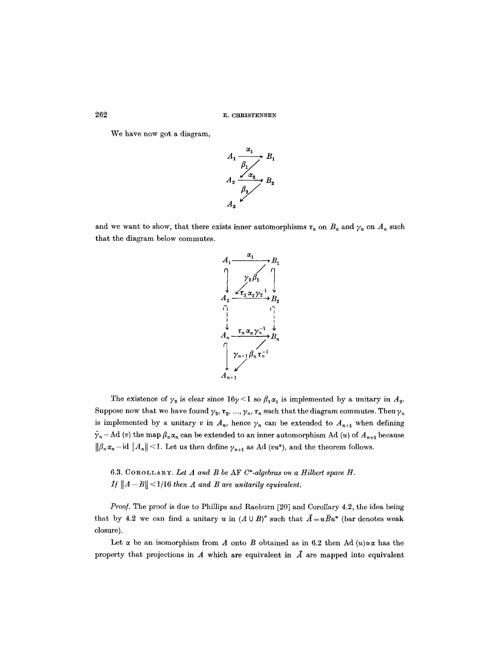We have now got a diagram,



and we want to show, that there exists inner automorphisms  $\tau_n$  on  $B_n$  and  $\gamma_n$  on  $A_n$  such that the diagram below commutes.



The existence of  $\gamma_2$  is clear since  $16\gamma < 1$  so  $\beta_1 \alpha_1$  is implemented by a unitary in  $A_2$ . Suppose now that we have found  $\gamma_2, \tau_2, ..., \gamma_n, \tau_n$  such that the diagram commutes. Then  $\gamma_n$ is implemented by a unitary v in  $A_n$ , hence  $\gamma_n$  can be extended to  $A_{n+1}$  when defining  $\tilde{\gamma}_n = \text{Ad}(v)$  the map  $\beta_n \alpha_n$  can be extended to an inner automorphism Ad (u) of  $A_{n+1}$  because  $\|\beta_n\alpha_n-\text{id}\,|A_n\|\leq 1.$  Let us then define  $\gamma_{n+1}$  as Ad *(vu*\*), and the theorem follows.

6.3. COROLLARY. Let  $A$  and  $B$  be  $\Lambda$ F  $C^*$ -algebras on a Hilbert space  $H$ . *If*  $||A - B|| < 1/16$  *then A and B are unitarily equivalent.* 

*Proof.* The proof is due to Phillips and Raeburn [20] and Corollary 4.2, the idea being that by 4.2 we can find a unitary u in  $(A \cup B)''$  such that  $\overline{A} = u\overline{B}u^*$  (bar denotes weak closure).

Let  $\alpha$  be an isomorphism from A onto B obtained as in 6.2 then Ad  $(u)\circ\alpha$  has the property that projections in  $A$  which are equivalent in  $\overline{A}$  are mapped into equivalent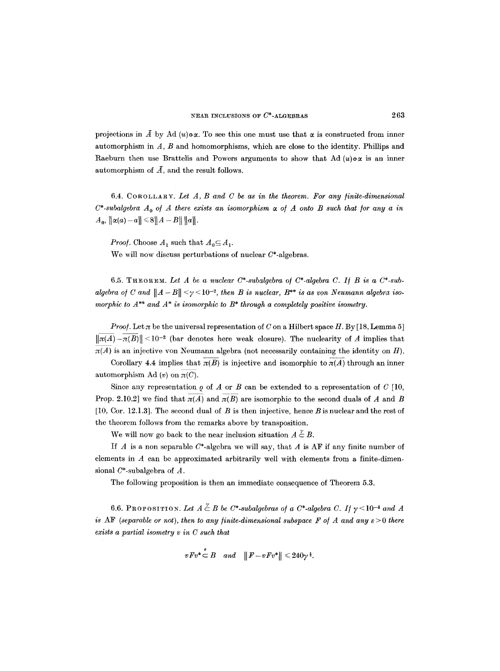projections in  $\tilde{A}$  by Ad (u)**o** $\alpha$ . To see this one must use that  $\alpha$  is constructed from inner automorphism in  $A$ ,  $B$  and homomorphisms, which are close to the identity. Phillips and Raeburn then use Brattelis and Powers arguments to show that Ad  $(u)\circ\alpha$  is an inner automorphism of  $\overline{A}$ , and the result follows.

6.4. COROLLARY. *Let A, B and C be as in the theorem. For any /inite-dimensional*   $C^*$ -subalgebra  $A_0$  of A there exists an isomorphism  $\alpha$  of A onto B such that for any a in  $A_0, \|\alpha(a)-a\| \leq 8||A-B|| \, ||a||.$ 

*Proof.* Choose  $A_1$  such that  $A_0 \subseteq A_1$ .

We will now discuss perturbations of nuclear  $C^*$ -algebras.

6.5. THEOREM. Let  $A$  be a nuclear  $C^*$ -subalgebra of  $C^*$ -algebra  $C$ . If  $B$  is a  $C^*$ -subalgebra of C and  $||A - B|| <sub>y</sub> < 10^{-2}$ , then B is nuclear,  $B^{**}$  is as von Neumann algebra iso*morphic to A\*\* and A\* is isomorphic to B\* through a completely positive isometry.* 

*Proof.* Let  $\pi$  be the universal representation of C on a Hilbert space H. By [18, Lemma 5]  $\|\pi(A)-\pi(B)\|$  < 10<sup>-2</sup> (bar denotes here weak closure). The nuclearity of A implies that  $\overline{\pi(A)}$  is an injective yon Neumann algebra (not necessarily containing the identity on H).

Corollary 4.4 implies that  $\pi(B)$  is injective and isomorphic to  $\pi(A)$  through an inner automorphism Ad  $(v)$  on  $\pi(C)$ .

Since any representation  $\rho$  of A or B can be extended to a representation of C [10, Prop. 2.10.2] we find that  $\pi(A)$  and  $\pi(B)$  are isomorphic to the second duals of A and B [10, Cor. 12.1.3]. The second dual of B is then injective, hence B is nuclear and the rest of the theorem follows from the remarks above by transposition.

We will now go back to the near inclusion situation  $A \stackrel{\gamma}{\subset} B$ .

If  $A$  is a non separable  $C^*$ -algebra we will say, that  $A$  is AF if any finite number of elements in  $A$  can be approximated arbitrarily well with elements from a finite-dimensional  $C^*$ -subalgebra of  $A$ .

The following proposition is then an immediate consequence of Theorem 5.3.

6.6. PROPOSITION. Let  $A \stackrel{\vee}{\subset} B$  be C\*-subalgebras of a C\*-algebra C. If  $\gamma$ <10<sup>-4</sup> and A *is* AF (separable or not), then to any finite-dimensional subspace F of A and any  $\varepsilon > 0$  there *exists a partial isometry v in C such that* 

$$
vFv^*\stackrel{\circ}{\subset}B\quad and\quad \|F-vFv^*\|\leqslant 240\gamma^{\frac{1}{2}}.
$$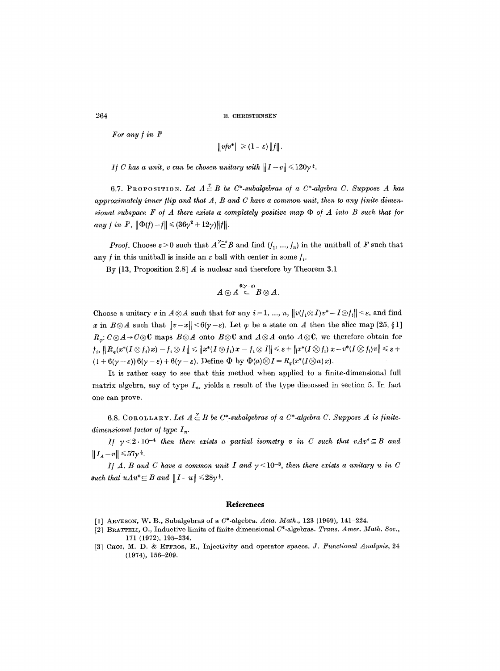*For any / in F* 

$$
||\nabla f v^*|| \geq (1-\varepsilon) ||f||.
$$

*If C has a unit, v can be chosen unitary with*  $||I-v|| \leq 120\gamma^{\frac{1}{2}}$ .

6.7. PROPOSITION. Let  $A \stackrel{\vee}{\subset} B$  be C\*-subalgebras of a C\*-algebra C. Suppose A has *approximately inner flip and that A, B and C have a common unit, then to any finite dimen*sional subspace  $F$  of  $A$  there exists a completely positive map  $\Phi$  of  $A$  into  $B$  such that for  $\|a_{ny} f\| \leq F, \|\Phi(f)-f\| \leq (36\gamma^2+12\gamma)\|f\|.$ 

*Proof.* Choose  $\varepsilon > 0$  such that  $A \subset \mathcal{B}$  and find  $(f_1, ..., f_n)$  in the unit ball of F such that any f in this unit ball is inside an  $\varepsilon$  ball with center in some  $f_i$ .

By  $[13,$  Proposition 2.8] A is nuclear and therefore by Theorem 3.1

$$
A\otimes A\stackrel{6(\gamma-\varepsilon)}{\subset}B\otimes A.
$$

Choose a unitary v in  $A\otimes A$  such that for any  $i=1, ..., n$ ,  $||v(f_i\otimes I)v^* - I\otimes f_i|| < \varepsilon$ , and find x in  $B \otimes A$  such that  $||v-x|| \leq 6(\gamma - \varepsilon)$ . Let  $\varphi$  be a state on A then the slice map [25, §1]  $R_n: C \otimes A \rightarrow C \otimes C$  maps  $B \otimes A$  onto  $B \otimes C$  and  $A \otimes A$  onto  $A \otimes C$ , we therefore obtain for  $\|f_i\|_H^2 \cdot \|\hat{H}_\varphi(x^*(I \otimes f_i)x) - f_i \otimes I\| \leq \|x^*(I \otimes f_i)x - f_i \otimes I\| \leqslant \varepsilon + \|x^*(I \otimes f_i)x - v^*(I \otimes f_i)v\| \leqslant \varepsilon + \varepsilon$  $(1+6(\gamma-\varepsilon))6(\gamma-\varepsilon)+6(\gamma-\varepsilon)$ . Define  $\Phi$  by  $\Phi(a)\otimes I=R_{\varphi}(x^*(I\otimes a)x)$ .

It is rather easy to see that this method when applied to a finite-dimensional full matrix algebra, say of type  $I_n$ , yields a result of the type discussed in section 5. In fact one can prove.

6.8. COROLLARY. Let  $A \overset{\vee}{\subset} B$  be  $C^*$ -subalgebras of a  $C^*$ -algebra C. Suppose A is finite $dimensional factor of type I_n$ .

*I/*  $\gamma$  <2.10<sup>-4</sup> *then there exists a partial isometry v in C such that vAv*\* $\subseteq$  *B and*  $||I_A - v|| \leq 57\gamma^{\frac{1}{2}}.$ 

*I/A, B and C have a common unit I and*  $\gamma$  < 10<sup>-3</sup>, *then there exists a unitary u in C* such that  $uAu^* \subseteq B$  and  $||I-u|| \leq 28\gamma^*$ .

#### **Reierences**

- [1] ARVESON, W. B., Subalgebras of a  $C^*$ -algebra. *Acta. Math.*, 123 (1969), 141-224.
- [2] BRATTELI, O., Inductive limits of finite dimensional  $C^*$ -algebras. *Trans. Amer. Math. Soc.*, 171 (1972), 195-234.
- [3] CHOI, M. D. & EFFROS, E., Injectivity and operator spaces. *J. Functional Analysis*, 24 (1974), 156-209.